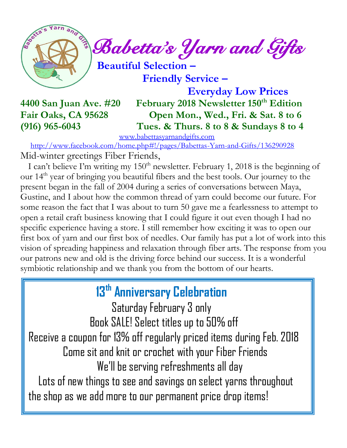

 *Babetta's Yarn and Gifts* 

 **Beautiful Selection –**

 **Friendly Service –**

 **Everyday Low Prices 4400 San Juan Ave. #20 February 2018 Newsletter 150th Edition Fair Oaks, CA 95628 Open Mon., Wed., Fri. & Sat. 8 to 6 (916) 965-6043 Tues. & Thurs. 8 to 8 & Sundays 8 to 4** 

[www.babettasyarnandgifts.com](http://www.babettasyarnandgifts.com/)

 <http://www.facebook.com/home.php#!/pages/Babettas-Yarn-and-Gifts/136290928> Mid-winter greetings Fiber Friends,

I can't believe I'm writing my  $150<sup>th</sup>$  newsletter. February 1, 2018 is the beginning of our 14 th year of bringing you beautiful fibers and the best tools. Our journey to the present began in the fall of 2004 during a series of conversations between Maya, Gustine, and I about how the common thread of yarn could become our future. For some reason the fact that I was about to turn 50 gave me a fearlessness to attempt to open a retail craft business knowing that I could figure it out even though I had no specific experience having a store. I still remember how exciting it was to open our first box of yarn and our first box of needles. Our family has put a lot of work into this vision of spreading happiness and relaxation through fiber arts. The response from you our patrons new and old is the driving force behind our success. It is a wonderful symbiotic relationship and we thank you from the bottom of our hearts.

# **13th Anniversary Celebration**

 Saturday February 3 only Book SALE! Select titles up to 50% off Receive a coupon for 13% off regularly priced items during Feb. 2018 Come sit and knit or crochet with your Fiber Friends We'll be serving refreshments all day Lots of new things to see and savings on select yarns throughout the shop as we add more to our permanent price drop items!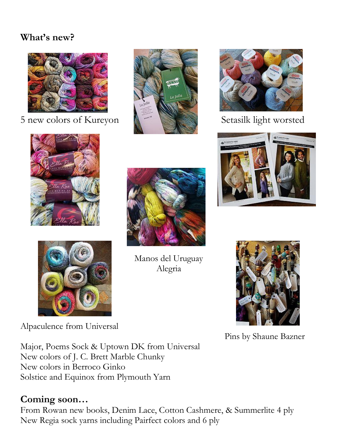#### **What's new?**



5 new colors of Kureyon  $\mathbb{R}$  Setasilk light worsted











Alpaculence from Universal

Manos del Uruguay Alegria



Pins by Shaune Bazner

Major, Poems Sock & Uptown DK from Universal New colors of J. C. Brett Marble Chunky New colors in Berroco Ginko Solstice and Equinox from Plymouth Yarn

#### **Coming soon…**

From Rowan new books, Denim Lace, Cotton Cashmere, & Summerlite 4 ply New Regia sock yarns including Pairfect colors and 6 ply



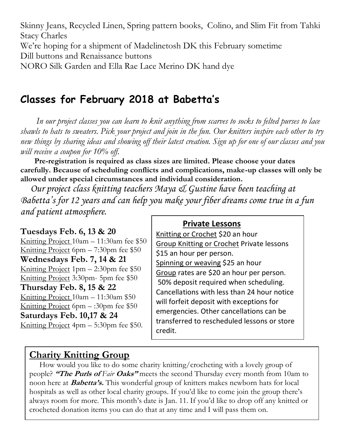Skinny Jeans, Recycled Linen, Spring pattern books, Colino, and Slim Fit from Tahki Stacy Charles We're hoping for a shipment of Madelinetosh DK this February sometime Dill buttons and Renaissance buttons NORO Silk Garden and Ella Rae Lace Merino DK hand dye

### **Classes for February 2018 at Babetta's**

 *In our project classes you can learn to knit anything from scarves to socks to felted purses to lace shawls to hats to sweaters. Pick your project and join in the fun. Our knitters inspire each other to try new things by sharing ideas and showing off their latest creation. Sign up for one of our classes and you will receive a coupon for 10% off.*

 **Pre-registration is required as class sizes are limited. Please choose your dates carefully. Because of scheduling conflicts and complications, make-up classes will only be allowed under special circumstances and individual consideration.**

*Our project class knitting teachers Maya & Gustine have been teaching at Babetta's for 12 years and can help you make your fiber dreams come true in a fun and patient atmosphere.*

**Tuesdays Feb. 6, 13 & 20** Knitting Project 10am – 11:30am fee \$50 Knitting Project 6pm – 7:30pm fee \$50 **Wednesdays Feb. 7, 14 & 21** Knitting Project 1pm – 2:30pm fee \$50 Knitting Project 3:30pm- 5pm fee \$50 **Thursday Feb. 8, 15 & 22** Knitting Project 10am – 11:30am \$50 Knitting Project 6pm – :30pm fee \$50 **Saturdays Feb. 10,17 & 24** Knitting Project  $4pm - 5:30pm$  fee \$50.

#### **Private Lessons**

Knitting or Crochet \$20 an hour Group Knitting or Crochet Private lessons \$15 an hour per person. Spinning or weaving \$25 an hour Group rates are \$20 an hour per person. 50% deposit required when scheduling. Cancellations with less than 24 hour notice will forfeit deposit with exceptions for emergencies. Other cancellations can be transferred to rescheduled lessons or store credit.

#### **Charity Knitting Group**

 How would you like to do some charity knitting/crocheting with a lovely group of people? **"The Purls of** *Fair* **Oaks"** meets the second Thursday every month from 10am to noon here at **Babetta's.** This wonderful group of knitters makes newborn hats for local hospitals as well as other local charity groups. If you'd like to come join the group there's always room for more. This month's date is Jan. 11. If you'd like to drop off any knitted or crocheted donation items you can do that at any time and I will pass them on.